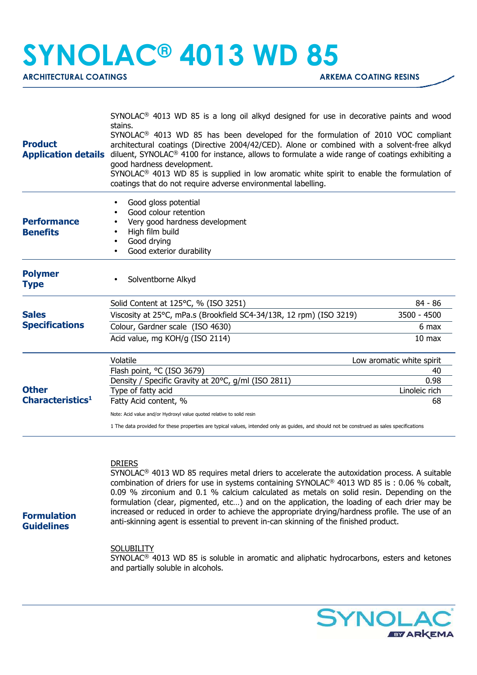## **SYNOLAC® 4013 WD 85**

**ARCHITECTURAL COATINGS** ARCHITECTURAL COATING **ARKEMA COATING RESINS** 

|                                                                                              | $SYNOLAC®$ 4013 WD 85 is a long oil alkyd designed for use in decorative paints and wood                                                                                                                                                                                                                                                                                                                                                                                                                           |                           |  |
|----------------------------------------------------------------------------------------------|--------------------------------------------------------------------------------------------------------------------------------------------------------------------------------------------------------------------------------------------------------------------------------------------------------------------------------------------------------------------------------------------------------------------------------------------------------------------------------------------------------------------|---------------------------|--|
| <b>Product</b><br><b>Application details</b>                                                 | stains.<br>SYNOLAC <sup>®</sup> 4013 WD 85 has been developed for the formulation of 2010 VOC compliant<br>architectural coatings (Directive 2004/42/CED). Alone or combined with a solvent-free alkyd<br>diluent, SYNOLAC <sup>®</sup> 4100 for instance, allows to formulate a wide range of coatings exhibiting a<br>good hardness development.<br>$SYNOLAC®$ 4013 WD 85 is supplied in low aromatic white spirit to enable the formulation of<br>coatings that do not require adverse environmental labelling. |                           |  |
| <b>Performance</b><br><b>Benefits</b>                                                        | Good gloss potential<br>Good colour retention<br>Very good hardness development<br>High film build<br>Good drying<br>Good exterior durability<br>$\bullet$                                                                                                                                                                                                                                                                                                                                                         |                           |  |
| <b>Polymer</b><br><b>Type</b>                                                                | Solventborne Alkyd                                                                                                                                                                                                                                                                                                                                                                                                                                                                                                 |                           |  |
|                                                                                              | Solid Content at 125°C, % (ISO 3251)                                                                                                                                                                                                                                                                                                                                                                                                                                                                               | 84 - 86                   |  |
| <b>Sales</b><br><b>Specifications</b><br><b>Other</b><br><b>Characteristics</b> <sup>1</sup> | Viscosity at 25°C, mPa.s (Brookfield SC4-34/13R, 12 rpm) (ISO 3219)                                                                                                                                                                                                                                                                                                                                                                                                                                                | 3500 - 4500               |  |
|                                                                                              | Colour, Gardner scale (ISO 4630)                                                                                                                                                                                                                                                                                                                                                                                                                                                                                   | 6 max                     |  |
|                                                                                              | Acid value, mg KOH/g (ISO 2114)                                                                                                                                                                                                                                                                                                                                                                                                                                                                                    | 10 <sub>max</sub>         |  |
|                                                                                              | Volatile                                                                                                                                                                                                                                                                                                                                                                                                                                                                                                           | Low aromatic white spirit |  |
|                                                                                              | Flash point, °C (ISO 3679)                                                                                                                                                                                                                                                                                                                                                                                                                                                                                         | 40                        |  |
|                                                                                              | Density / Specific Gravity at 20°C, g/ml (ISO 2811)                                                                                                                                                                                                                                                                                                                                                                                                                                                                | 0.98                      |  |
|                                                                                              | Type of fatty acid                                                                                                                                                                                                                                                                                                                                                                                                                                                                                                 | Linoleic rich             |  |
|                                                                                              | Fatty Acid content, %                                                                                                                                                                                                                                                                                                                                                                                                                                                                                              | 68                        |  |
|                                                                                              | Note: Acid value and/or Hydroxyl value quoted relative to solid resin                                                                                                                                                                                                                                                                                                                                                                                                                                              |                           |  |
|                                                                                              | 1 The data provided for these properties are typical values, intended only as guides, and should not be construed as sales specifications                                                                                                                                                                                                                                                                                                                                                                          |                           |  |
|                                                                                              |                                                                                                                                                                                                                                                                                                                                                                                                                                                                                                                    |                           |  |

## DRIERS

SYNOLAC® 4013 WD 85 requires metal driers to accelerate the autoxidation process. A suitable combination of driers for use in systems containing SYNOLAC® 4013 WD 85 is : 0.06 % cobalt, 0.09 % zirconium and 0.1 % calcium calculated as metals on solid resin. Depending on the formulation (clear, pigmented, etc…) and on the application, the loading of each drier may be increased or reduced in order to achieve the appropriate drying/hardness profile. The use of an anti-skinning agent is essential to prevent in-can skinning of the finished product.

**Formulation Guidelines**

## **SOLUBILITY**

SYNOLAC® 4013 WD 85 is soluble in aromatic and aliphatic hydrocarbons, esters and ketones and partially soluble in alcohols.